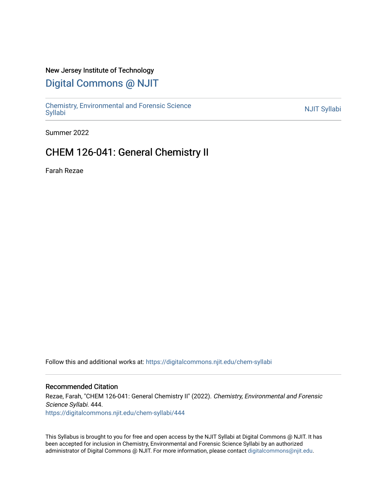# New Jersey Institute of Technology

# [Digital Commons @ NJIT](https://digitalcommons.njit.edu/)

Chemistry, Environmental and Forensic Science<br>Syllabi

Summer 2022

# CHEM 126-041: General Chemistry II

Farah Rezae

Follow this and additional works at: [https://digitalcommons.njit.edu/chem-syllabi](https://digitalcommons.njit.edu/chem-syllabi?utm_source=digitalcommons.njit.edu%2Fchem-syllabi%2F444&utm_medium=PDF&utm_campaign=PDFCoverPages) 

## Recommended Citation

Rezae, Farah, "CHEM 126-041: General Chemistry II" (2022). Chemistry, Environmental and Forensic Science Syllabi. 444. [https://digitalcommons.njit.edu/chem-syllabi/444](https://digitalcommons.njit.edu/chem-syllabi/444?utm_source=digitalcommons.njit.edu%2Fchem-syllabi%2F444&utm_medium=PDF&utm_campaign=PDFCoverPages) 

This Syllabus is brought to you for free and open access by the NJIT Syllabi at Digital Commons @ NJIT. It has been accepted for inclusion in Chemistry, Environmental and Forensic Science Syllabi by an authorized administrator of Digital Commons @ NJIT. For more information, please contact [digitalcommons@njit.edu.](mailto:digitalcommons@njit.edu)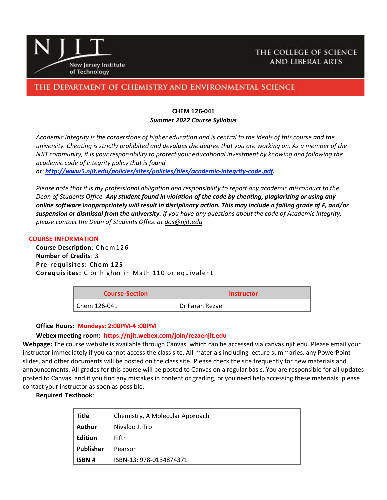

# THE COLLEGE OF SCIENCE **AND LIBERAL ARTS**

# THE DEPARTMENT OF CHEMISTRY AND ENVIRONMENTAL SCIENCE

#### **CHEM 126-041** *Summer 2022 Course Syllabus*

*Academic Integrity is the cornerstone of higher education and is central to the ideals of this course and the university. Cheating is strictly prohibited and devalues the degree that you are working on. As a member of the NJIT community, it is your responsibility to protect your educational investment by knowing and following the academic code of integrity policy that is found* 

*at: [http://www5.njit.edu/policies/sites/policies/files/academic-integrity-code.pdf.](http://www5.njit.edu/policies/sites/policies/files/academic-integrity-code.pdf)* 

*Please note that it is my professional obligation and responsibility to report any academic misconduct to the Dean of Students Office. Any student found in violation of the code by cheating, plagiarizing or using any online software inappropriately will result in disciplinary action. This may include a failing grade of F, and/or suspension or dismissal from the university. If you have any questions about the code of Academic Integrity, please contact the Dean of Students Office at [dos@njit.edu](mailto:dos@njit.edu)*

#### **COURSE INFORMATION**

**Course Description**: C h em 1 2 6 **Number of Credits**: 3 **Pre-requisites: Chem 125 Corequisites:** C or higher in Math 110 or equivalent

| <b>Course-Section</b> | <b>Instructor</b> |  |
|-----------------------|-------------------|--|
| l Chem 126-041        | Dr Farah Rezae    |  |

#### **Office Hours: Mondays: 2:00PM-4 :00PM**

## **Webex meeting room: https://njit.webex.com/join/rezaenjit.edu**

**Webpage:** The course website is available through Canvas, which can be accessed via canvas.njit.edu. Please email your instructor immediately if you cannot access the class site. All materials including lecture summaries, any PowerPoint slides, and other documents will be posted on the class site. Please check the site frequently for new materials and announcements. All grades for this course will be posted to Canvas on a regular basis. You are responsible for all updates posted to Canvas, and if you find any mistakes in content or grading, or you need help accessing these materials, please contact your instructor as soon as possible.

#### **Required Textbook**:

| Title            | Chemistry, A Molecular Approach |
|------------------|---------------------------------|
| Author           | Nivaldo J. Tro                  |
| Edition          | Fifth                           |
| <b>Publisher</b> | Pearson                         |
| <b>ISBN #</b>    | ISBN-13: 978-0134874371         |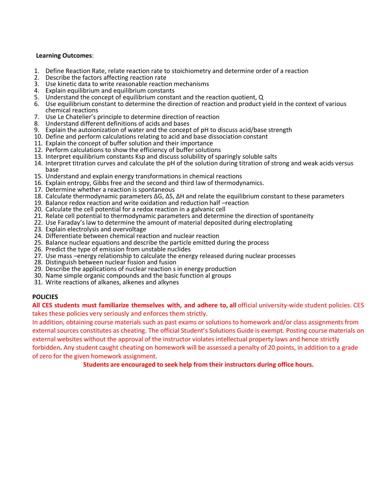#### **Learning Outcomes**:

- 1. Define Reaction Rate, relate reaction rate to stoichiometry and determine order of a reaction
- 2. Describe the factors affecting reaction rate
- 3. Use kinetic data to write reasonable reaction mechanisms
- 4. Explain equilibrium and equilibrium constants
- 5. Understand the concept of equilibrium constant and the reaction quotient, Q
- 6. Use equilibrium constant to determine the direction of reaction and product yield in the context of various chemical reactions
- 7. Use Le Chatelier's principle to determine direction of reaction<br>8. Understand different definitions of acids and bases
- 8. Understand different definitions of acids and bases
- Explain the autoionization of water and the concept of pH to discuss acid/base strength
- 10. Define and perform calculations relating to acid and base dissociation constant
- 11. Explain the concept of buffer solution and their importance
- 12. Perform calculations to show the efficiency of buffer solutions
- 13. Interpret equilibrium constants Ksp and discuss solubility of sparingly soluble salts
- 14. Interpret titration curves and calculate the pH of the solution during titration of strong and weak acids versus base
- 15. Understand and explain energy transformations in chemical reactions
- 16. Explain entropy, Gibbs free and the second and third law of thermodynamics.
- 17. Determine whether a reaction is spontaneous
- 18. Calculate thermodynamic parameters ΔG, ΔS, ΔH and relate the equilibrium constant to these parameters
- 19. Balance redox reaction and write oxidation and reduction half –reaction
- 20. Calculate the cell potential for a redox reaction in a galvanic cell
- 21. Relate cell potential to thermodynamic parameters and determine the direction of spontaneity
- 22. Use Faraday's law to determine the amount of material deposited during electroplating
- 23. Explain electrolysis and overvoltage
- 24. Differentiate between chemical reaction and nuclear reaction
- 25. Balance nuclear equations and describe the particle emitted during the process
- 26. Predict the type of emission from unstable nuclides
- 27. Use mass –energy relationship to calculate the energy released during nuclear processes
- 28. Distinguish between nuclear fission and fusion
- 29. Describe the applications of nuclear reaction s in energy production
- 30. Name simple organic compounds and the basic function al groups
- 31. Write reactions of alkanes, alkenes and alkynes

## **POLICIES**

**All CES students must familiarize themselves with, and adhere to, all** official university-wide student policies. CES takes these policies very seriously and enforces them strictly.

In addition, obtaining course materials such as past exams or solutions to homework and/or class assignments from external sources constitutes as cheating. The official Student's Solutions Guide is exempt. Posting course materials on external websites without the approval of the instructor violates intellectual property laws and hence strictly forbidden**.** Any student caught cheating on homework will be assessed a penalty of 20 points, in addition to a grade of zero for the given homework assignment.

**Students are encouraged to seek help from their instructors during office hours.**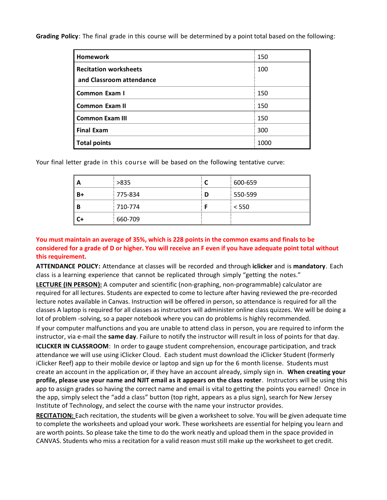**Grading Policy**: The final grade in this course will be determined by a point total based on the following:

| <b>Homework</b>              | 150  |
|------------------------------|------|
| <b>Recitation worksheets</b> | 100  |
| and Classroom attendance     |      |
| Common Exam I                | 150  |
| <b>Common Exam II</b>        | 150  |
| <b>Common Exam III</b>       | 150  |
| <b>Final Exam</b>            | 300  |
| <b>Total points</b>          | 1000 |

Your final letter grade in this course will be based on the following tentative curve:

| A  | >835    |   | 600-659 |
|----|---------|---|---------|
| B+ | 775-834 | D | 550-599 |
| в  | 710-774 |   | < 550   |
|    | 660-709 |   |         |

**You must maintain an average of 35%, which is 228 points in the common exams and finals to be considered for a grade of D or higher. You will receive an F even if you have adequate point total without this requirement.** 

**ATTENDANCE POLICY:** Attendance at classes will be recorded and through **iclicker** and is **mandatory**. Each class is a learning experience that cannot be replicated through simply "getting the notes."

**LECTURE (IN PERSON):** A computer and scientific (non-graphing, non-programmable) calculator are required for all lectures. Students are expected to come to lecture after having reviewed the pre-recorded lecture notes available in Canvas. Instruction will be offered in person, so attendance is required for all the classes A laptop is required for all classes as instructors will administer online class quizzes. We will be doing a lot of problem -solving, so a paper notebook where you can do problems is highly recommended.

If your computer malfunctions and you are unable to attend class in person, you are required to inform the instructor, via e-mail the **same day**. Failure to notify the instructor will result in loss of points for that day. **ICLICKER IN CLASSROOM**: In order to gauge student comprehension, encourage participation, and track attendance we will use using iClicker Cloud. Each student must download the iClicker Student (formerly iClicker Reef) app to their mobile device or laptop and sign up for the 6 month license. Students must create an account in the application or, if they have an account already, simply sign in. **When creating your profile, please use your name and NJIT email as it appears on the class roster**. Instructors will be using this app to assign grades so having the correct name and email is vital to getting the points you earned! Once in the app, simply select the "add a class" button (top right, appears as a plus sign), search for New Jersey Institute of Technology, and select the course with the name your instructor provides.

**RECITATION:** Each recitation, the students will be given a worksheet to solve. You will be given adequate time to complete the worksheets and upload your work. These worksheets are essential for helping you learn and are worth points. So please take the time to do the work neatly and upload them in the space provided in CANVAS. Students who miss a recitation for a valid reason must still make up the worksheet to get credit.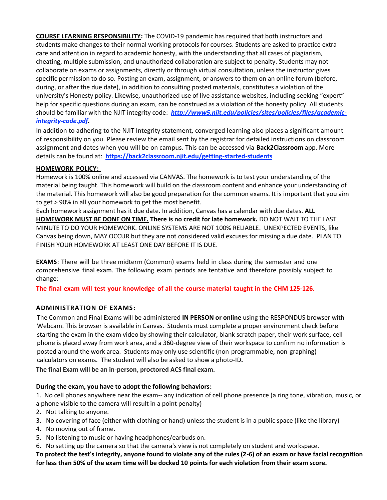**COURSE LEARNING RESPONSIBILITY:** The COVID-19 pandemic has required that both instructors and students make changes to their normal working protocols for courses. Students are asked to practice extra care and attention in regard to academic honesty, with the understanding that all cases of plagiarism, cheating, multiple submission, and unauthorized collaboration are subject to penalty. Students may not collaborate on exams or assignments, directly or through virtual consultation, unless the instructor gives specific permission to do so. Posting an exam, assignment, or answers to them on an online forum (before, during, or after the due date), in addition to consulting posted materials, constitutes a violation of the university's Honesty policy. Likewise, unauthorized use of live assistance websites, including seeking "expert" help for specific questions during an exam, can be construed as a violation of the honesty policy. All students should be familiar with the NJIT integrity code: *[http://www5.njit.edu/policies/sites/policies/files/academic](http://www5.njit.edu/policies/sites/policies/files/academic-integrity-code.pdf)[integrity-code.pdf.](http://www5.njit.edu/policies/sites/policies/files/academic-integrity-code.pdf)* 

In addition to adhering to the NJIT Integrity statement, converged learning also places a significant amount of responsibility on you. Please review the email sent by the registrar for detailed instructions on classroom assignment and dates when you will be on campus. This can be accessed via **Back2Classroom** app. More details can be found at: **<https://back2classroom.njit.edu/getting-started-students>**

## **HOMEWORK POLICY:**

Homework is 100% online and accessed via CANVAS. The homework is to test your understanding of the material being taught. This homework will build on the classroom content and enhance your understanding of the material. This homework will also be good preparation for the common exams. It is important that you aim to get > 90% in all your homework to get the most benefit.

Each homework assignment has it due date. In addition, Canvas has a calendar with due dates. **ALL HOMEWORK MUST BE DONE ON TIME. There is no credit for late homework.** DO NOT WAIT TO THE LAST MINUTE TO DO YOUR HOMEWORK. ONLINE SYSTEMS ARE NOT 100% RELIABLE. UNEXPECTED EVENTS, like Canvas being down, MAY OCCUR but they are not considered valid excuses for missing a due date. PLAN TO FINISH YOUR HOMEWORK AT LEAST ONE DAY BEFORE IT IS DUE.

**EXAMS**: There will be three midterm (Common) exams held in class during the semester and one comprehensive final exam. The following exam periods are tentative and therefore possibly subject to change:

**The final exam will test your knowledge of all the course material taught in the CHM 125-126.**

## **ADMINISTRATION OF EXAMS:**

The Common and Final Exams will be administered **IN PERSON or online** using the RESPONDUS browser with Webcam. This browser is available in Canvas. Students must complete a proper environment check before starting the exam in the exam video by showing their calculator, blank scratch paper, their work surface, cell phone is placed away from work area, and a 360-degree view of their workspace to confirm no information is posted around the work area. Students may only use scientific (non-programmable, non-graphing) calculators on exams. The student will also be asked to show a photo-ID**.**

**The final Exam will be an in-person, proctored ACS final exam.**

## **During the exam, you have to adopt the following behaviors:**

1. No cell phones anywhere near the exam-- any indication of cell phone presence (a ring tone, vibration, music, or a phone visible to the camera will result in a point penalty)

- 2. Not talking to anyone.
- 3. No covering of face (either with clothing or hand) unless the student is in a public space (like the library)
- 4. No moving out of frame.
- 5. No listening to music or having headphones/earbuds on.

6. No setting up the camera so that the camera's view is not completely on student and workspace.

**To protect the test's integrity, anyone found to violate any of the rules (2-6) of an exam or have facial recognition for less than 50% of the exam time will be docked 10 points for each violation from their exam score.**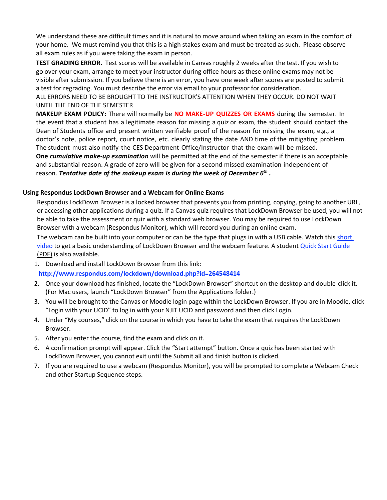We understand these are difficult times and it is natural to move around when taking an exam in the comfort of your home. We must remind you that this is a high stakes exam and must be treated as such. Please observe all exam rules as if you were taking the exam in person.

**TEST GRADING ERROR.** Test scores will be available in Canvas roughly 2 weeks after the test. If you wish to go over your exam, arrange to meet your instructor during office hours as these online exams may not be visible after submission. If you believe there is an error, you have one week after scores are posted to submit a test for regrading. You must describe the error via email to your professor for consideration.

ALL ERRORS NEED TO BE BROUGHT TO THE INSTRUCTOR'S ATTENTION WHEN THEY OCCUR. DO NOT WAIT UNTIL THE END OF THE SEMESTER

**MAKEUP EXAM POLICY:** There will normally be **NO MAKE-UP QUIZZES OR EXAMS** during the semester. In the event that a student has a legitimate reason for missing a quiz or exam, the student should contact the Dean of Students office and present written verifiable proof of the reason for missing the exam, e.g., a doctor's note, police report, court notice, etc. clearly stating the date AND time of the mitigating problem. The student must also notify the CES Department Office/Instructor that the exam will be missed. **One** *cumulative make-up examination* will be permitted at the end of the semester if there is an acceptable and substantial reason. A grade of zero will be given for a second missed examination independent of reason. *Tentative date of the makeup exam is during the week of December 6th .*

## **Using Respondus LockDown Browser and a Webcam for Online Exams**

Respondus LockDown Browser is a locked browser that prevents you from printing, copying, going to another URL, or accessing other applications during a quiz. If a Canvas quiz requires that LockDown Browser be used, you will not be able to take the assessment or quiz with a standard web browser. You may be required to use LockDown Browser with a webcam (Respondus Monitor), which will record you during an online exam.

The webcam can be built into your computer or can be the type that plugs in with a USB cable. Watch this short [video](http://www.respondus.com/products/lockdown-browser/student-movie.shtml) to get a basic understanding of LockDown Browser and the webcam feature. A student [Quick Start Guide](http://www.respondus.com/products/monitor/guides.shtml)  [\(PDF\)](http://www.respondus.com/products/monitor/guides.shtml) is also available.

1. Download and install LockDown Browser from this link:

**<http://www.respondus.com/lockdown/download.php?id=264548414>**

- 2. Once your download has finished, locate the "LockDown Browser" shortcut on the desktop and double-click it. (For Mac users, launch "LockDown Browser" from the Applications folder.)
- 3. You will be brought to the Canvas or Moodle login page within the LockDown Browser. If you are in Moodle, click "Login with your UCID" to log in with your NJIT UCID and password and then click Login.
- 4. Under "My courses," click on the course in which you have to take the exam that requires the LockDown Browser.
- 5. After you enter the course, find the exam and click on it.
- 6. A confirmation prompt will appear. Click the "Start attempt" button. Once a quiz has been started with LockDown Browser, you cannot exit until the Submit all and finish button is clicked.
- 7. If you are required to use a webcam (Respondus Monitor), you will be prompted to complete a Webcam Check and other Startup Sequence steps.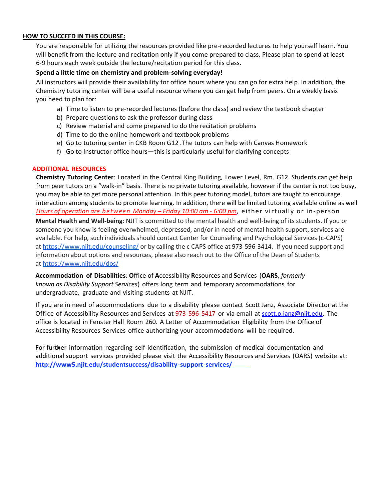## **HOW TO SUCCEED IN THIS COURSE:**

You are responsible for utilizing the resources provided like pre-recorded lectures to help yourself learn. You will benefit from the lecture and recitation only if you come prepared to class. Please plan to spend at least 6-9 hours each week outside the lecture/recitation period for this class.

#### **Spend a little time on chemistry and problem-solving everyday!**

All instructors will provide their availability for office hours where you can go for extra help. In addition, the Chemistry tutoring center will be a useful resource where you can get help from peers. On a weekly basis you need to plan for:

- a) Time to listen to pre-recorded lectures (before the class) and review the textbook chapter
- b) Prepare questions to ask the professor during class
- c) Review material and come prepared to do the recitation problems
- d) Time to do the online homework and textbook problems
- e) Go to tutoring center in CKB Room G12 .The tutors can help with Canvas Homework
- f) Go to Instructor office hours—this is particularly useful for clarifying concepts

#### **ADDITIONAL RESOURCES**

**Chemistry Tutoring Center**: Located in the Central King Building, Lower Level, Rm. G12. Students can get help from peer tutors on a "walk-in" basis. There is no private tutoring available, however if the center is not too busy, you may be able to get more personal attention. In this peer tutoring model, tutors are taught to encourage interaction among students to promote learning. In addition, there will be limited tutoring available online as well *Hours of operation are between Monday – Friday 10:00 am - 6:00 pm, either virtually or in-person* 

**Mental Health and Well-being**: NJIT is committed to the mental health and well-being of its students. If you or someone you know is feeling overwhelmed, depressed, and/or in need of mental health support, services are available. For help, such individuals should contact Center for Counseling and Psychological Services (c-CAPS) at <https://www.njit.edu/counseling/> or by calling the c CAPS office at 973-596-3414. If you need support and information about options and resources, please also reach out to the Office of the Dean of Students at <https://www.njit.edu/dos/>

**Accommodation of Disabilities**: **O**ffice of **A**ccessibility **R**esources and **S**ervices (**OARS**, *formerly known as Disability Support Services*) offers long term and temporary accommodations for undergraduate, graduate and visiting students at NJIT.

If you are in need of accommodations due to a disability please contact Scott Janz, Associate Director at the Office of Accessibility Resources and Services at 973-596-5417 or via email at [scott.p.janz@njit.edu.](mailto:scott.p.janz@njit.edu) The office is located in Fenster Hall Room 260. A Letter of Accommodation Eligibility from the Office of Accessibility Resources Services office authorizing your accommodations will be required.

For further information regarding self-identification, the submission of medical documentation and additional support services provided please visit the Accessibility Resources and Services (OARS) website at: **[http://www5.njit.edu/studentsuccess/disability-support-services/](http://www.njit.edu/studentsuccess/accessibility/)**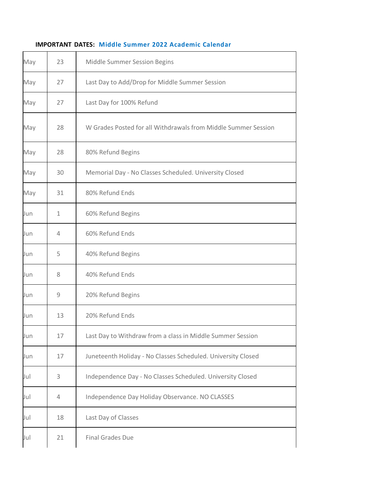| May | 23          | Middle Summer Session Begins                                   |  |
|-----|-------------|----------------------------------------------------------------|--|
| May | 27          | Last Day to Add/Drop for Middle Summer Session                 |  |
| May | 27          | Last Day for 100% Refund                                       |  |
| May | 28          | W Grades Posted for all Withdrawals from Middle Summer Session |  |
| May | 28          | 80% Refund Begins                                              |  |
| May | 30          | Memorial Day - No Classes Scheduled. University Closed         |  |
| May | 31          | 80% Refund Ends                                                |  |
| Jun | $\mathbf 1$ | 60% Refund Begins                                              |  |
| Jun | 4           | 60% Refund Ends                                                |  |
| Jun | 5           | 40% Refund Begins                                              |  |
| Jun | 8           | 40% Refund Ends                                                |  |
| Jun | 9           | 20% Refund Begins                                              |  |
| Jun | 13          | 20% Refund Ends                                                |  |
| Jun | 17          | Last Day to Withdraw from a class in Middle Summer Session     |  |
| Jun | 17          | Juneteenth Holiday - No Classes Scheduled. University Closed   |  |
| Jul | 3           | Independence Day - No Classes Scheduled. University Closed     |  |
| Jul | 4           | Independence Day Holiday Observance. NO CLASSES                |  |
| Jul | 18          | Last Day of Classes                                            |  |
| Jul | 21          | <b>Final Grades Due</b>                                        |  |

## **IMPORTANT DATES: Middle Summer 2022 [Academic Calendar](https://www5.njit.edu/registrar/calendars/)**